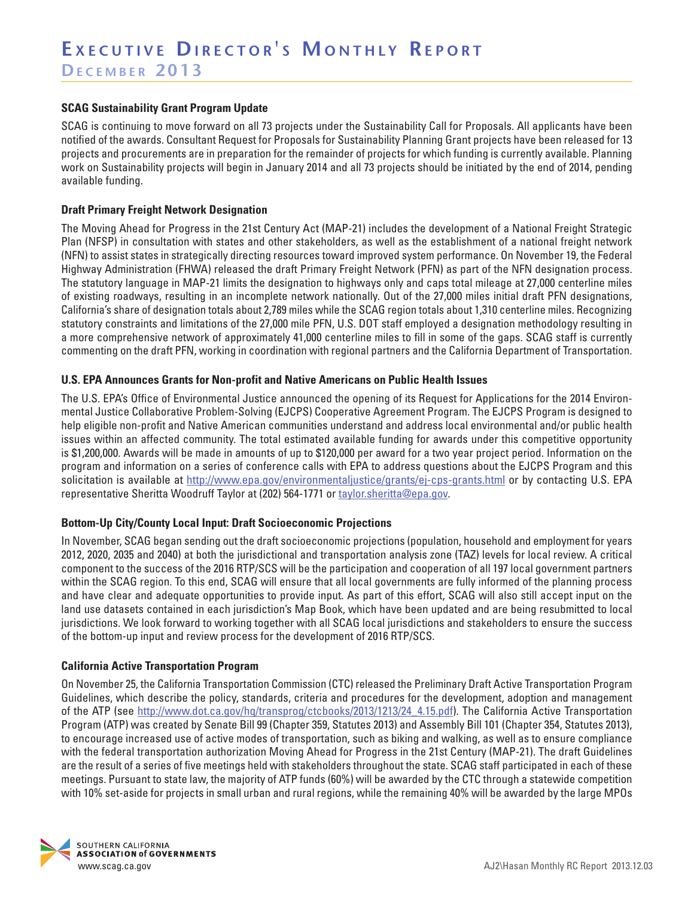## **SCAG Sustainability Grant Program Update**

SCAG is continuing to move forward on all 73 projects under the Sustainability Call for Proposals. All applicants have been notified of the awards. Consultant Request for Proposals for Sustainability Planning Grant projects have been released for 13 projects and procurements are in preparation for the remainder of projects for which funding is currently available. Planning work on Sustainability projects will begin in January 2014 and all 73 projects should be initiated by the end of 2014, pending available funding.

#### **Draft Primary Freight Network Designation**

The Moving Ahead for Progress in the 21st Century Act (MAP-21) includes the development of a National Freight Strategic Plan (NFSP) in consultation with states and other stakeholders, as well as the establishment of a national freight network (NFN) to assist states in strategically directing resources toward improved system performance. On November 19, the Federal Highway Administration (FHWA) released the draft Primary Freight Network (PFN) as part of the NFN designation process. The statutory language in MAP-21 limits the designation to highways only and caps total mileage at 27,000 centerline miles of existing roadways, resulting in an incomplete network nationally. Out of the 27,000 miles initial draft PFN designations, California's share of designation totals about 2,789 miles while the SCAG region totals about 1,310 centerline miles. Recognizing statutory constraints and limitations of the 27,000 mile PFN, U.S. DOT staff employed a designation methodology resulting in a more comprehensive network of approximately 41,000 centerline miles to fill in some of the gaps. SCAG staff is currently commenting on the draft PFN, working in coordination with regional partners and the California Department of Transportation.

### **U.S. EPA Announces Grants for Non-profit and Native Americans on Public Health Issues**

The U.S. EPA's Office of Environmental Justice announced the opening of its Request for Applications for the 2014 Environmental Justice Collaborative Problem-Solving (EJCPS) Cooperative Agreement Program. The EJCPS Program is designed to help eligible non-profit and Native American communities understand and address local environmental and/or public health issues within an affected community. The total estimated available funding for awards under this competitive opportunity is \$1,200,000. Awards will be made in amounts of up to \$120,000 per award for a two year project period. Information on the program and information on a series of conference calls with EPA to address questions about the EJCPS Program and this solicitation is available at <http://www.epa.gov/environmentaljustice/grants/ej-cps-grants.html>or by contacting U.S. EPA representative Sheritta Woodruff Taylor at (202) 564-1771 or [taylor.sheritta@epa.gov](mailto:taylor.sheritta@epa.gov).

## **Bottom-Up City/County Local Input: Draft Socioeconomic Projections**

In November, SCAG began sending out the draft socioeconomic projections (population, household and employment for years 2012, 2020, 2035 and 2040) at both the jurisdictional and transportation analysis zone (TAZ) levels for local review. A critical component to the success of the 2016 RTP/SCS will be the participation and cooperation of all 197 local government partners within the SCAG region. To this end, SCAG will ensure that all local governments are fully informed of the planning process and have clear and adequate opportunities to provide input. As part of this effort, SCAG will also still accept input on the land use datasets contained in each jurisdiction's Map Book, which have been updated and are being resubmitted to local jurisdictions. We look forward to working together with all SCAG local jurisdictions and stakeholders to ensure the success of the bottom-up input and review process for the development of 2016 RTP/SCS.

#### **California Active Transportation Program**

On November 25, the California Transportation Commission (CTC) released the Preliminary Draft Active Transportation Program Guidelines, which describe the policy, standards, criteria and procedures for the development, adoption and management of the ATP (see [http://www.dot.ca.gov/hq/transprog/ctcbooks/2013/1213/24\\_4.15.pdf\)](http://www.dot.ca.gov/hq/transprog/ctcbooks/2013/1213/24_4.15.pdf). The California Active Transportation Program (ATP) was created by Senate Bill 99 (Chapter 359, Statutes 2013) and Assembly Bill 101 (Chapter 354, Statutes 2013), to encourage increased use of active modes of transportation, such as biking and walking, as well as to ensure compliance with the federal transportation authorization Moving Ahead for Progress in the 21st Century (MAP-21). The draft Guidelines are the result of a series of five meetings held with stakeholders throughout the state. SCAG staff participated in each of these meetings. Pursuant to state law, the majority of ATP funds (60%) will be awarded by the CTC through a statewide competition with 10% set-aside for projects in small urban and rural regions, while the remaining 40% will be awarded by the large MPOs